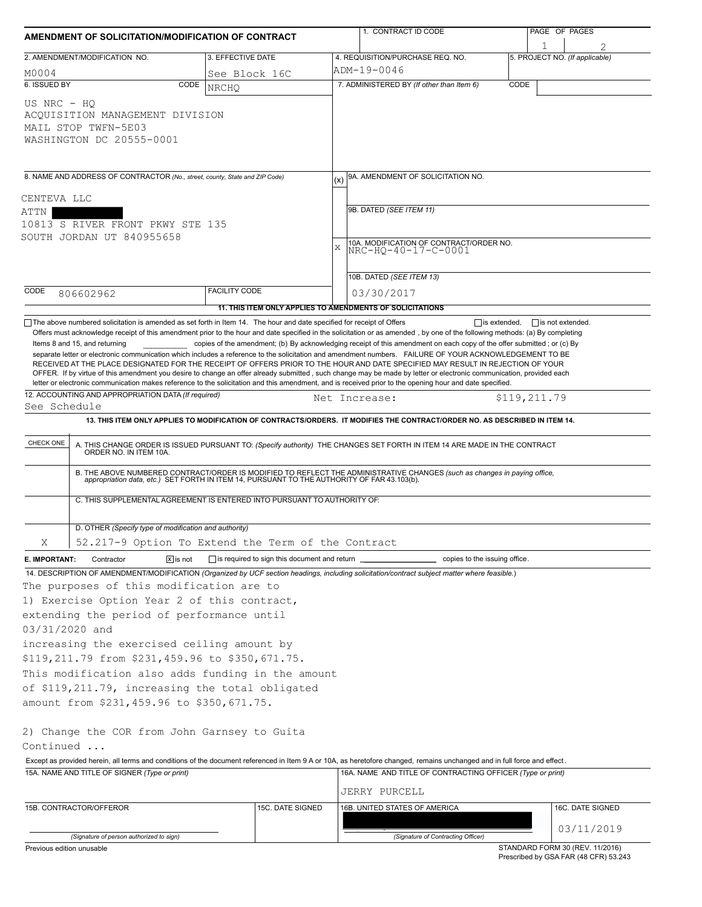| AMENDMENT OF SOLICITATION/MODIFICATION OF CONTRACT                                                                                                                  |                                                                                                                                                                                                                                                                                                                                                                                                                                                       |                               |                                                | 1. CONTRACT ID CODE                                                                                                                                                                                                                                                                                                                                                                                                                                                                                                                                                                                                                                                                                                                                                           |              | PAGE OF PAGES                  |  |  |  |  |
|---------------------------------------------------------------------------------------------------------------------------------------------------------------------|-------------------------------------------------------------------------------------------------------------------------------------------------------------------------------------------------------------------------------------------------------------------------------------------------------------------------------------------------------------------------------------------------------------------------------------------------------|-------------------------------|------------------------------------------------|-------------------------------------------------------------------------------------------------------------------------------------------------------------------------------------------------------------------------------------------------------------------------------------------------------------------------------------------------------------------------------------------------------------------------------------------------------------------------------------------------------------------------------------------------------------------------------------------------------------------------------------------------------------------------------------------------------------------------------------------------------------------------------|--------------|--------------------------------|--|--|--|--|
|                                                                                                                                                                     | 2. AMENDMENT/MODIFICATION NO.                                                                                                                                                                                                                                                                                                                                                                                                                         | 3. EFFECTIVE DATE             |                                                | 4. REQUISITION/PURCHASE REQ. NO.                                                                                                                                                                                                                                                                                                                                                                                                                                                                                                                                                                                                                                                                                                                                              |              | 5. PROJECT NO. (If applicable) |  |  |  |  |
|                                                                                                                                                                     |                                                                                                                                                                                                                                                                                                                                                                                                                                                       |                               |                                                | ADM-19-0046                                                                                                                                                                                                                                                                                                                                                                                                                                                                                                                                                                                                                                                                                                                                                                   |              |                                |  |  |  |  |
| M0004<br>6. ISSUED BY                                                                                                                                               | CODE                                                                                                                                                                                                                                                                                                                                                                                                                                                  | See Block 16C<br><b>NRCHO</b> |                                                | 7. ADMINISTERED BY (If other than Item 6)                                                                                                                                                                                                                                                                                                                                                                                                                                                                                                                                                                                                                                                                                                                                     | CODE         |                                |  |  |  |  |
| US NRC - HO                                                                                                                                                         | ACQUISITION MANAGEMENT DIVISION<br>MAIL STOP TWFN-5E03<br>WASHINGTON DC 20555-0001                                                                                                                                                                                                                                                                                                                                                                    |                               |                                                |                                                                                                                                                                                                                                                                                                                                                                                                                                                                                                                                                                                                                                                                                                                                                                               |              |                                |  |  |  |  |
| 8. NAME AND ADDRESS OF CONTRACTOR (No., street, county, State and ZIP Code)<br>CENTEVA LLC<br>ATTN<br>10813 S RIVER FRONT PKWY STE 135<br>SOUTH JORDAN UT 840955658 |                                                                                                                                                                                                                                                                                                                                                                                                                                                       |                               |                                                | 9A. AMENDMENT OF SOLICITATION NO.<br>9B. DATED (SEE ITEM 11)                                                                                                                                                                                                                                                                                                                                                                                                                                                                                                                                                                                                                                                                                                                  |              |                                |  |  |  |  |
|                                                                                                                                                                     |                                                                                                                                                                                                                                                                                                                                                                                                                                                       |                               |                                                | 10A. MODIFICATION OF CONTRACT/ORDER NO.<br>$\bar{x}$<br>NRC-HO-40-17-C-0001<br>10B. DATED (SEE ITEM 13)                                                                                                                                                                                                                                                                                                                                                                                                                                                                                                                                                                                                                                                                       |              |                                |  |  |  |  |
| CODE                                                                                                                                                                | 806602962                                                                                                                                                                                                                                                                                                                                                                                                                                             | <b>FACILITY CODE</b>          |                                                | 03/30/2017                                                                                                                                                                                                                                                                                                                                                                                                                                                                                                                                                                                                                                                                                                                                                                    |              |                                |  |  |  |  |
|                                                                                                                                                                     |                                                                                                                                                                                                                                                                                                                                                                                                                                                       |                               |                                                | 11. THIS ITEM ONLY APPLIES TO AMENDMENTS OF SOLICITATIONS                                                                                                                                                                                                                                                                                                                                                                                                                                                                                                                                                                                                                                                                                                                     |              |                                |  |  |  |  |
| See Schedule                                                                                                                                                        | 12. ACCOUNTING AND APPROPRIATION DATA (If required)                                                                                                                                                                                                                                                                                                                                                                                                   |                               |                                                | separate letter or electronic communication which includes a reference to the solicitation and amendment numbers. FAILURE OF YOUR ACKNOWLEDGEMENT TO BE<br>RECEIVED AT THE PLACE DESIGNATED FOR THE RECEIPT OF OFFERS PRIOR TO THE HOUR AND DATE SPECIFIED MAY RESULT IN REJECTION OF YOUR<br>OFFER. If by virtue of this amendment you desire to change an offer already submitted, such change may be made by letter or electronic communication, provided each<br>letter or electronic communication makes reference to the solicitation and this amendment, and is received prior to the opening hour and date specified.<br>Net Increase:<br>13. THIS ITEM ONLY APPLIES TO MODIFICATION OF CONTRACTS/ORDERS. IT MODIFIES THE CONTRACT/ORDER NO. AS DESCRIBED IN ITEM 14. | \$119,211.79 |                                |  |  |  |  |
| CHECK ONE                                                                                                                                                           | A. THIS CHANGE ORDER IS ISSUED PURSUANT TO: (Specify authority) THE CHANGES SET FORTH IN ITEM 14 ARE MADE IN THE CONTRACT ORDER NO. IN ITEM 10A.<br>B. THE ABOVE NUMBERED CONTRACT/ORDER IS MODIFIED TO REFLECT THE ADMINISTRATIVE CHANGES (such as changes in paying office, appropriation data, etc.) SET FORTH IN ITEM 14, PURSUANT TO THE AUTHORITY OF FAR 43.103(b).<br>C. THIS SUPPLEMENTAL AGREEMENT IS ENTERED INTO PURSUANT TO AUTHORITY OF: |                               |                                                |                                                                                                                                                                                                                                                                                                                                                                                                                                                                                                                                                                                                                                                                                                                                                                               |              |                                |  |  |  |  |
|                                                                                                                                                                     | D. OTHER (Specify type of modification and authority)                                                                                                                                                                                                                                                                                                                                                                                                 |                               |                                                |                                                                                                                                                                                                                                                                                                                                                                                                                                                                                                                                                                                                                                                                                                                                                                               |              |                                |  |  |  |  |
| Χ                                                                                                                                                                   | 52.217-9 Option To Extend the Term of the Contract                                                                                                                                                                                                                                                                                                                                                                                                    |                               |                                                |                                                                                                                                                                                                                                                                                                                                                                                                                                                                                                                                                                                                                                                                                                                                                                               |              |                                |  |  |  |  |
| E. IMPORTANT:                                                                                                                                                       | Contractor<br>$\overline{X}$ is not                                                                                                                                                                                                                                                                                                                                                                                                                   |                               | is required to sign this document and return _ | copies to the issuing office.                                                                                                                                                                                                                                                                                                                                                                                                                                                                                                                                                                                                                                                                                                                                                 |              |                                |  |  |  |  |
| 03/31/2020 and                                                                                                                                                      | The purposes of this modification are to<br>1) Exercise Option Year 2 of this contract,<br>extending the period of performance until<br>increasing the exercised ceiling amount by<br>\$119,211.79 from \$231,459.96 to \$350,671.75.                                                                                                                                                                                                                 |                               |                                                | 14. DESCRIPTION OF AMENDMENT/MODIFICATION (Organized by UCF section headings, including solicitation/contract subject matter where feasible.)                                                                                                                                                                                                                                                                                                                                                                                                                                                                                                                                                                                                                                 |              |                                |  |  |  |  |
|                                                                                                                                                                     | This modification also adds funding in the amount<br>of \$119,211.79, increasing the total obligated                                                                                                                                                                                                                                                                                                                                                  |                               |                                                |                                                                                                                                                                                                                                                                                                                                                                                                                                                                                                                                                                                                                                                                                                                                                                               |              |                                |  |  |  |  |
|                                                                                                                                                                     | amount from \$231,459.96 to \$350,671.75.                                                                                                                                                                                                                                                                                                                                                                                                             |                               |                                                |                                                                                                                                                                                                                                                                                                                                                                                                                                                                                                                                                                                                                                                                                                                                                                               |              |                                |  |  |  |  |
| Continued                                                                                                                                                           | 2) Change the COR from John Garnsey to Guita                                                                                                                                                                                                                                                                                                                                                                                                          |                               |                                                |                                                                                                                                                                                                                                                                                                                                                                                                                                                                                                                                                                                                                                                                                                                                                                               |              |                                |  |  |  |  |
|                                                                                                                                                                     |                                                                                                                                                                                                                                                                                                                                                                                                                                                       |                               |                                                | Except as provided herein, all terms and conditions of the document referenced in Item 9 A or 10A, as heretofore changed, remains unchanged and in full force and effect.                                                                                                                                                                                                                                                                                                                                                                                                                                                                                                                                                                                                     |              |                                |  |  |  |  |
|                                                                                                                                                                     | 15A. NAME AND TITLE OF SIGNER (Type or print)                                                                                                                                                                                                                                                                                                                                                                                                         |                               |                                                | 16A. NAME AND TITLE OF CONTRACTING OFFICER (Type or print)<br>JERRY PURCELL                                                                                                                                                                                                                                                                                                                                                                                                                                                                                                                                                                                                                                                                                                   |              |                                |  |  |  |  |
|                                                                                                                                                                     | 15B. CONTRACTOR/OFFEROR                                                                                                                                                                                                                                                                                                                                                                                                                               |                               | 15C. DATE SIGNED                               | 16B. UNITED STATES OF AMERICA                                                                                                                                                                                                                                                                                                                                                                                                                                                                                                                                                                                                                                                                                                                                                 |              | 16C. DATE SIGNED               |  |  |  |  |
| (Signature of person authorized to sign)                                                                                                                            |                                                                                                                                                                                                                                                                                                                                                                                                                                                       |                               |                                                | 03/11/2019<br>(Signature of Contracting Officer)                                                                                                                                                                                                                                                                                                                                                                                                                                                                                                                                                                                                                                                                                                                              |              |                                |  |  |  |  |

Previous edition unusable

STANDARD FORM 30 (REV. 11/2016) Prescribed by GSA FAR (48 CFR) 53.243